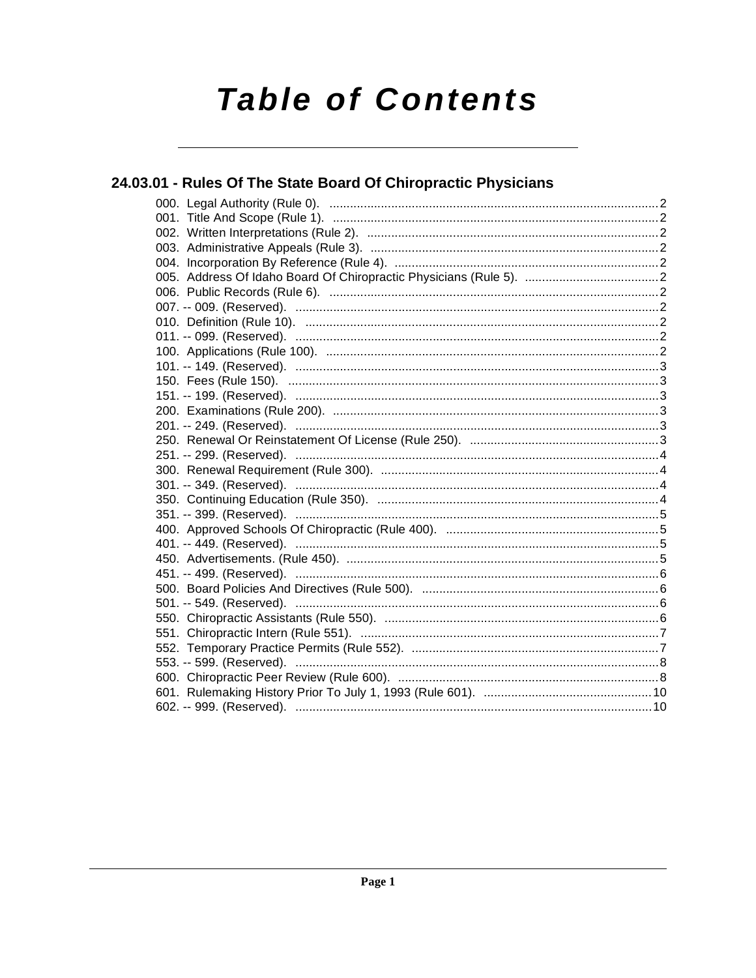# **Table of Contents**

# 24.03.01 - Rules Of The State Board Of Chiropractic Physicians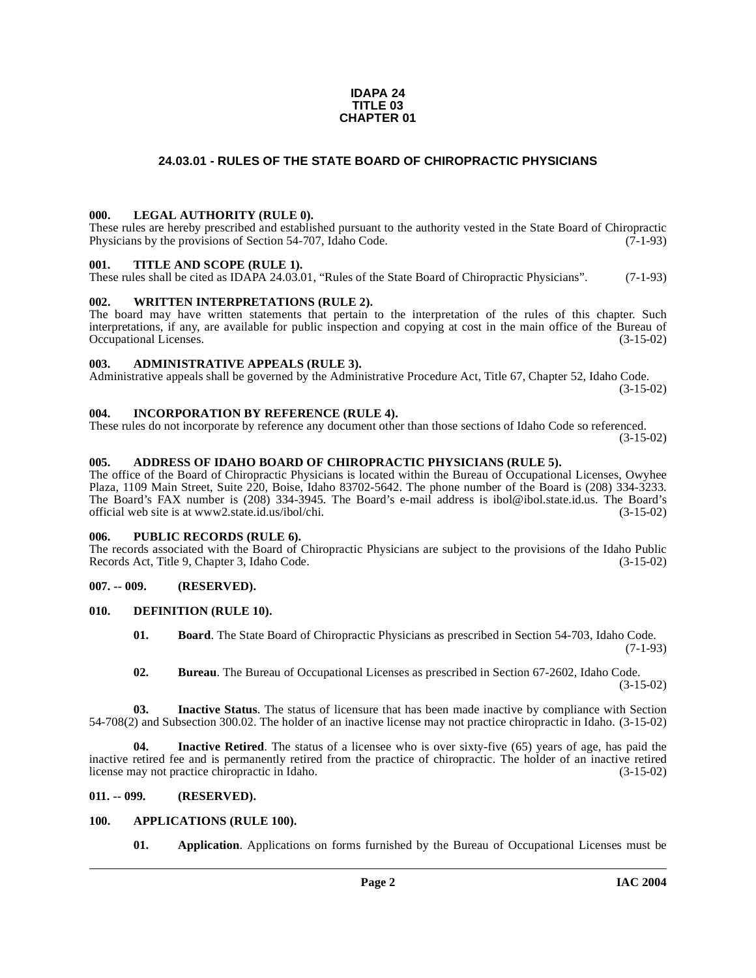#### **IDAPA 24 TITLE 03 CHAPTER 01**

# **24.03.01 - RULES OF THE STATE BOARD OF CHIROPRACTIC PHYSICIANS**

#### <span id="page-1-1"></span><span id="page-1-0"></span>**000. LEGAL AUTHORITY (RULE 0).**

These rules are hereby prescribed and established pursuant to the authority vested in the State Board of Chiropractic Physicians by the provisions of Section 54-707, Idaho Code.  $(7-1-93)$ 

#### <span id="page-1-2"></span>**001. TITLE AND SCOPE (RULE 1).**

These rules shall be cited as IDAPA 24.03.01, "Rules of the State Board of Chiropractic Physicians". (7-1-93)

#### <span id="page-1-3"></span>**002. WRITTEN INTERPRETATIONS (RULE 2).**

The board may have written statements that pertain to the interpretation of the rules of this chapter. Such interpretations, if any, are available for public inspection and copying at cost in the main office of the Bureau of Occupational Licenses. (3-15-02) Occupational Licenses.

#### <span id="page-1-4"></span>**003. ADMINISTRATIVE APPEALS (RULE 3).**

Administrative appeals shall be governed by the Administrative Procedure Act, Title 67, Chapter 52, Idaho Code. (3-15-02)

#### <span id="page-1-5"></span>**004. INCORPORATION BY REFERENCE (RULE 4).**

These rules do not incorporate by reference any document other than those sections of Idaho Code so referenced. (3-15-02)

#### <span id="page-1-6"></span>**005. ADDRESS OF IDAHO BOARD OF CHIROPRACTIC PHYSICIANS (RULE 5).**

[The office of the Board of Chiropractic Physicians is located within the Bureau of Occupational Licenses, Owyhee](http://www2.state.id.us/ibol/chi) Plaza, 1109 Main Street, Suite 220, Boise, Idaho 83702-5642. The phone number of the Board is (208) 334-3233. The Board's FAX number is (208) 334-3945. The Board's e-mail address is ibol@ibol.state.id.us. The Board's official web site is at www2.state.id.us/ibol/chi. (3-15-02)

#### <span id="page-1-7"></span>**006. PUBLIC RECORDS (RULE 6).**

The records associated with the Board of Chiropractic Physicians are subject to the provisions of the Idaho Public Records Act, Title 9, Chapter 3, Idaho Code. (3-15-02) Records Act, Title 9, Chapter 3, Idaho Code.

#### <span id="page-1-8"></span>**007. -- 009. (RESERVED).**

#### <span id="page-1-9"></span>**010. DEFINITION (RULE 10).**

- <span id="page-1-13"></span>**01. Board**. The State Board of Chiropractic Physicians as prescribed in Section 54-703, Idaho Code.  $(7-1-93)$
- **02. Bureau**. The Bureau of Occupational Licenses as prescribed in Section 67-2602, Idaho Code. (3-15-02)

**03. Inactive Status**. The status of licensure that has been made inactive by compliance with Section 54-708(2) and Subsection 300.02. The holder of an inactive license may not practice chiropractic in Idaho. (3-15-02)

**04. Inactive Retired**. The status of a licensee who is over sixty-five (65) years of age, has paid the inactive retired fee and is permanently retired from the practice of chiropractic. The holder of an inactive retired license may not practice chiropractic in Idaho. (3-15-02)

#### <span id="page-1-10"></span>**011. -- 099. (RESERVED).**

#### <span id="page-1-11"></span>**100. APPLICATIONS (RULE 100).**

<span id="page-1-12"></span>**01. Application**. Applications on forms furnished by the Bureau of Occupational Licenses must be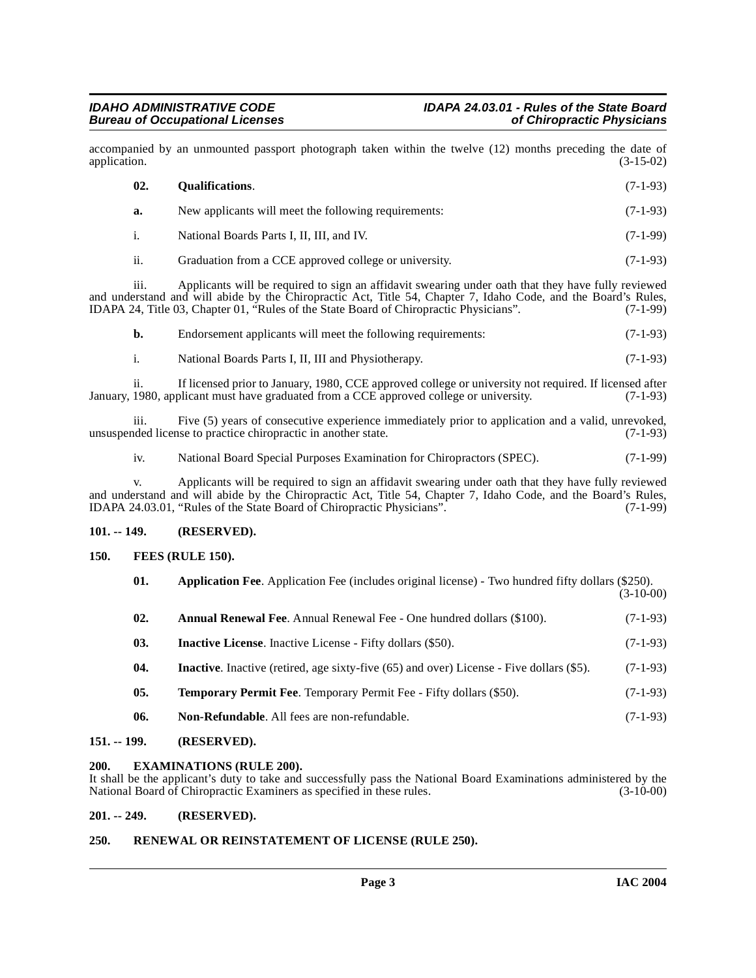accompanied by an unmounted passport photograph taken within the twelve (12) months preceding the date of application. (3-15-02) application. (3-15-02)

<span id="page-2-12"></span>

| 02. | <b>Oualifications.</b>                                | $(7-1-93)$ |
|-----|-------------------------------------------------------|------------|
| а.  | New applicants will meet the following requirements:  | $(7-1-93)$ |
|     | National Boards Parts I, II, III, and IV.             | $(7-1-99)$ |
| ii. | Graduation from a CCE approved college or university. | $(7-1-93)$ |

iii. Applicants will be required to sign an affidavit swearing under oath that they have fully reviewed and understand and will abide by the Chiropractic Act, Title 54, Chapter 7, Idaho Code, and the Board's Rules, IDAPA 24, Title 03, Chapter 01, "Rules of the State Board of Chiropractic Physicians". (7-1-99)

| Endorsement applicants will meet the following requirements: | $(7-1-93)$ |
|--------------------------------------------------------------|------------|
|                                                              |            |

i. National Boards Parts I, II, III and Physiotherapy. (7-1-93)

ii. If licensed prior to January, 1980, CCE approved college or university not required. If licensed after January, 1980, applicant must have graduated from a CCE approved college or university. (7-1-93)

iii. Five (5) years of consecutive experience immediately prior to application and a valid, unrevoked, unsuspended license to practice chiropractic in another state.

iv. National Board Special Purposes Examination for Chiropractors (SPEC). (7-1-99)

v. Applicants will be required to sign an affidavit swearing under oath that they have fully reviewed and understand and will abide by the Chiropractic Act, Title 54, Chapter 7, Idaho Code, and the Board's Rules,<br>IDAPA 24.03.01, "Rules of the State Board of Chiropractic Physicians". (7-1-99) IDAPA 24.03.01, "Rules of the State Board of Chiropractic Physicians".

# <span id="page-2-0"></span>**101. -- 149. (RESERVED).**

# <span id="page-2-1"></span>**150. FEES (RULE 150).**

<span id="page-2-10"></span><span id="page-2-9"></span><span id="page-2-8"></span><span id="page-2-7"></span><span id="page-2-6"></span>

| 01. | <b>Application Fee.</b> Application Fee (includes original license) - Two hundred fifty dollars (\$250). | $(3-10-00)$ |
|-----|----------------------------------------------------------------------------------------------------------|-------------|
| 02. | <b>Annual Renewal Fee.</b> Annual Renewal Fee - One hundred dollars (\$100).                             | $(7-1-93)$  |
| 03. | <b>Inactive License.</b> Inactive License - Fifty dollars (\$50).                                        | $(7-1-93)$  |
| 04. | <b>Inactive</b> . Inactive (retired, age sixty-five (65) and over) License - Five dollars (\$5).         | $(7-1-93)$  |
| 05. | <b>Temporary Permit Fee.</b> Temporary Permit Fee - Fifty dollars (\$50).                                | $(7-1-93)$  |
| 06. | <b>Non-Refundable.</b> All fees are non-refundable.                                                      | $(7-1-93)$  |
|     |                                                                                                          |             |

# <span id="page-2-14"></span><span id="page-2-11"></span><span id="page-2-2"></span>**151. -- 199. (RESERVED).**

# <span id="page-2-3"></span>**200. EXAMINATIONS (RULE 200).**

It shall be the applicant's duty to take and successfully pass the National Board Examinations administered by the National Board of Chiropractic Examiners as specified in these rules. (3-10-00)

# <span id="page-2-4"></span>**201. -- 249. (RESERVED).**

# <span id="page-2-13"></span><span id="page-2-5"></span>**250. RENEWAL OR REINSTATEMENT OF LICENSE (RULE 250).**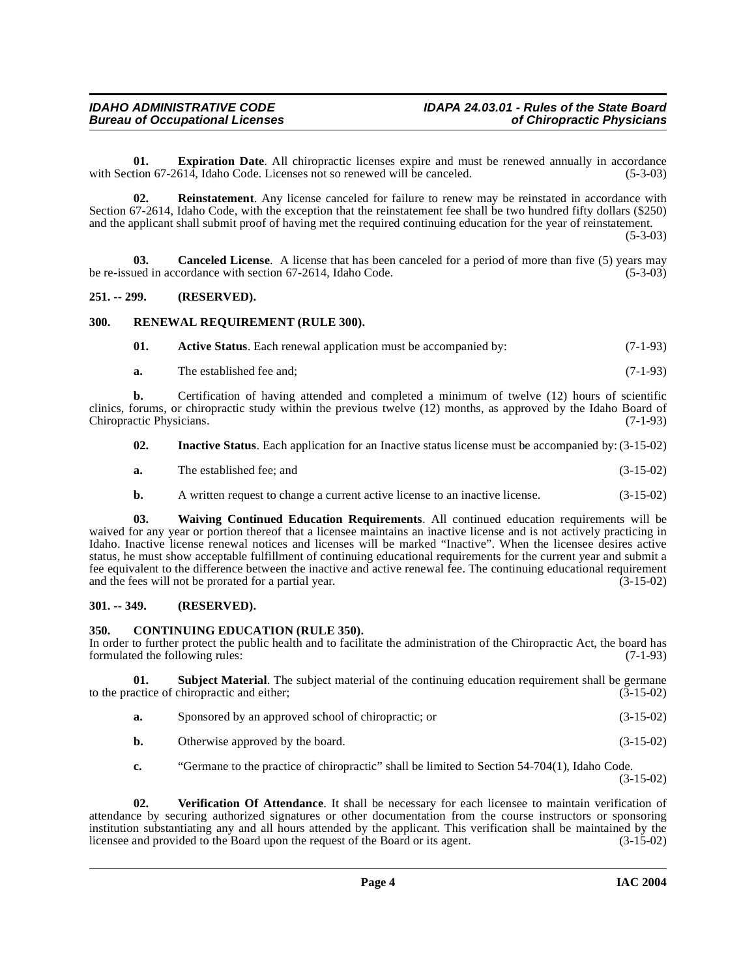<span id="page-3-7"></span>**01. Expiration Date**. All chiropractic licenses expire and must be renewed annually in accordance tion 67-2614. Idaho Code. Licenses not so renewed will be canceled. (5-3-03) with Section 67-2614, Idaho Code. Licenses not so renewed will be canceled.

<span id="page-3-9"></span>**02. Reinstatement**. Any license canceled for failure to renew may be reinstated in accordance with Section 67-2614, Idaho Code, with the exception that the reinstatement fee shall be two hundred fifty dollars (\$250) and the applicant shall submit proof of having met the required continuing education for the year of reinstatement.

(5-3-03)

<span id="page-3-5"></span>**03. Canceled License**.A license that has been canceled for a period of more than five (5) years may be re-issued in accordance with section 67-2614, Idaho Code. (5-3-03)

#### <span id="page-3-0"></span>**251. -- 299. (RESERVED).**

# <span id="page-3-1"></span>**300. RENEWAL REQUIREMENT (RULE 300).**

<span id="page-3-10"></span><span id="page-3-4"></span>

| 01. | <b>Active Status.</b> Each renewal application must be accompanied by: | $(7-1-93)$ |
|-----|------------------------------------------------------------------------|------------|
|-----|------------------------------------------------------------------------|------------|

**a.** The established fee and; (7-1-93)

**b.** Certification of having attended and completed a minimum of twelve (12) hours of scientific clinics, forums, or chiropractic study within the previous twelve (12) months, as approved by the Idaho Board of Chiropractic Physicians. (7-1-93) Chiropractic Physicians.

- <span id="page-3-8"></span>**02. Inactive Status**. Each application for an Inactive status license must be accompanied by: (3-15-02)
- **a.** The established fee; and (3-15-02)
- **b.** A written request to change a current active license to an inactive license. (3-15-02)

**03. Waiving Continued Education Requirements**. All continued education requirements will be waived for any year or portion thereof that a licensee maintains an inactive license and is not actively practicing in Idaho. Inactive license renewal notices and licenses will be marked "Inactive". When the licensee desires active status, he must show acceptable fulfillment of continuing educational requirements for the current year and submit a fee equivalent to the difference between the inactive and active renewal fee. The continuing educational requirement and the fees will not be prorated for a partial year. (3-15-02) and the fees will not be prorated for a partial year.

#### <span id="page-3-2"></span>**301. -- 349. (RESERVED).**

# <span id="page-3-6"></span><span id="page-3-3"></span>**350. CONTINUING EDUCATION (RULE 350).**

In order to further protect the public health and to facilitate the administration of the Chiropractic Act, the board has formulated the following rules: (7-1-93) formulated the following rules:

**01. Subject Material**. The subject material of the continuing education requirement shall be germane actice of chiropractic and either; (3-15-02) to the practice of chiropractic and either;

- <span id="page-3-11"></span>**a.** Sponsored by an approved school of chiropractic; or (3-15-02)
- **b.** Otherwise approved by the board. (3-15-02)

<span id="page-3-12"></span>**c.** "Germane to the practice of chiropractic" shall be limited to Section 54-704(1), Idaho Code. (3-15-02)

**02. Verification Of Attendance**. It shall be necessary for each licensee to maintain verification of attendance by securing authorized signatures or other documentation from the course instructors or sponsoring institution substantiating any and all hours attended by the applicant. This verification shall be maintained by the licensee and provided to the Board upon the request of the Board or its agent. (3-15-02) licensee and provided to the Board upon the request of the Board or its agent.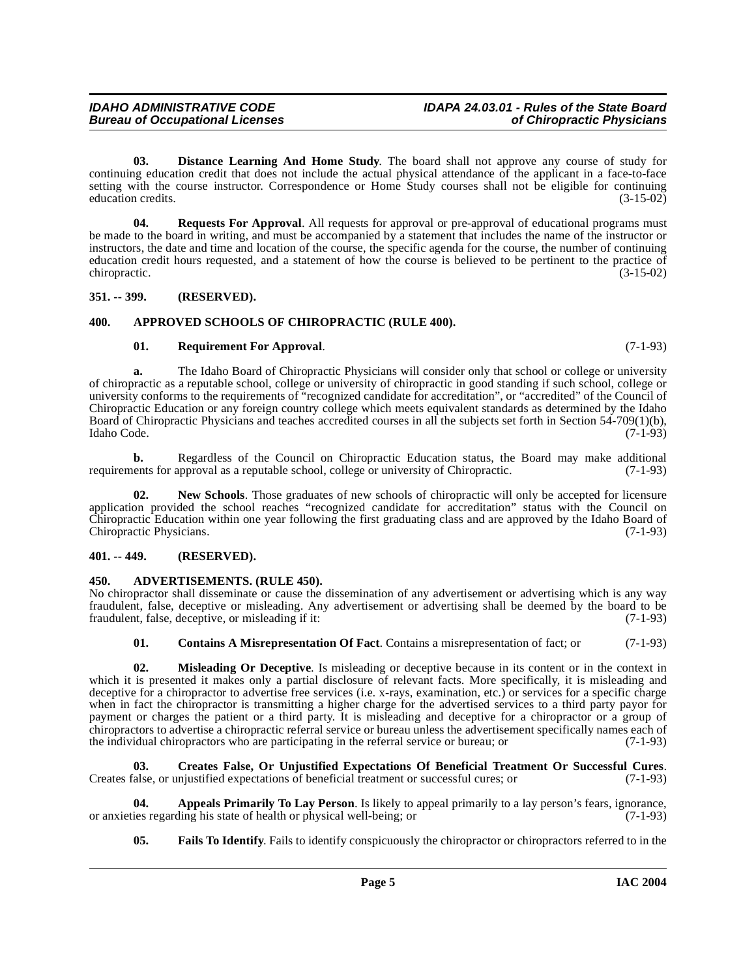**03. Distance Learning And Home Study**. The board shall not approve any course of study for continuing education credit that does not include the actual physical attendance of the applicant in a face-to-face setting with the course instructor. Correspondence or Home Study courses shall not be eligible for continuing education credits. (3-15-02)

**04. Requests For Approval**. All requests for approval or pre-approval of educational programs must be made to the board in writing, and must be accompanied by a statement that includes the name of the instructor or instructors, the date and time and location of the course, the specific agenda for the course, the number of continuing education credit hours requested, and a statement of how the course is believed to be pertinent to the practice of chiropractic. (3-15-02)

# <span id="page-4-0"></span>**351. -- 399. (RESERVED).**

# <span id="page-4-1"></span>**400. APPROVED SCHOOLS OF CHIROPRACTIC (RULE 400).**

# <span id="page-4-12"></span><span id="page-4-6"></span>**01. Requirement For Approval**. (7-1-93)

**a.** The Idaho Board of Chiropractic Physicians will consider only that school or college or university of chiropractic as a reputable school, college or university of chiropractic in good standing if such school, college or university conforms to the requirements of "recognized candidate for accreditation", or "accredited" of the Council of Chiropractic Education or any foreign country college which meets equivalent standards as determined by the Idaho Board of Chiropractic Physicians and teaches accredited courses in all the subjects set forth in Section 54-709(1)(b), Idaho Code. (7-1-93) Idaho Code. (7-1-93)

**b.** Regardless of the Council on Chiropractic Education status, the Board may make additional ents for approval as a reputable school, college or university of Chiropractic. (7-1-93) requirements for approval as a reputable school, college or university of Chiropractic.

<span id="page-4-11"></span>New Schools. Those graduates of new schools of chiropractic will only be accepted for licensure application provided the school reaches "recognized candidate for accreditation" status with the Council on Chiropractic Education within one year following the first graduating class and are approved by the Idaho Board of Chiropractic Physicians. (7-1-93)

# <span id="page-4-2"></span>**401. -- 449. (RESERVED).**

# <span id="page-4-4"></span><span id="page-4-3"></span>**450. ADVERTISEMENTS. (RULE 450).**

No chiropractor shall disseminate or cause the dissemination of any advertisement or advertising which is any way fraudulent, false, deceptive or misleading. Any advertisement or advertising shall be deemed by the board to be fraudulent, false, deceptive, or misleading if it: (7-1-93)

<span id="page-4-10"></span><span id="page-4-7"></span>**01. Contains A Misrepresentation Of Fact**. Contains a misrepresentation of fact; or (7-1-93)

**02. Misleading Or Deceptive**. Is misleading or deceptive because in its content or in the context in which it is presented it makes only a partial disclosure of relevant facts. More specifically, it is misleading and deceptive for a chiropractor to advertise free services (i.e. x-rays, examination, etc.) or services for a specific charge when in fact the chiropractor is transmitting a higher charge for the advertised services to a third party payor for payment or charges the patient or a third party. It is misleading and deceptive for a chiropractor or a group of chiropractors to advertise a chiropractic referral service or bureau unless the advertisement specifically names each of the individual chiropractors who are participating in the referral service or bureau; or (7-1-93)

<span id="page-4-8"></span>**03. Creates False, Or Unjustified Expectations Of Beneficial Treatment Or Successful Cures**. Creates false, or unjustified expectations of beneficial treatment or successful cures; or (7-1-93)

**04. Appeals Primarily To Lay Person**. Is likely to appeal primarily to a lay person's fears, ignorance, ies regarding his state of health or physical well-being; or or anxieties regarding his state of health or physical well-being; or

<span id="page-4-9"></span><span id="page-4-5"></span>**05. Fails To Identify**. Fails to identify conspicuously the chiropractor or chiropractors referred to in the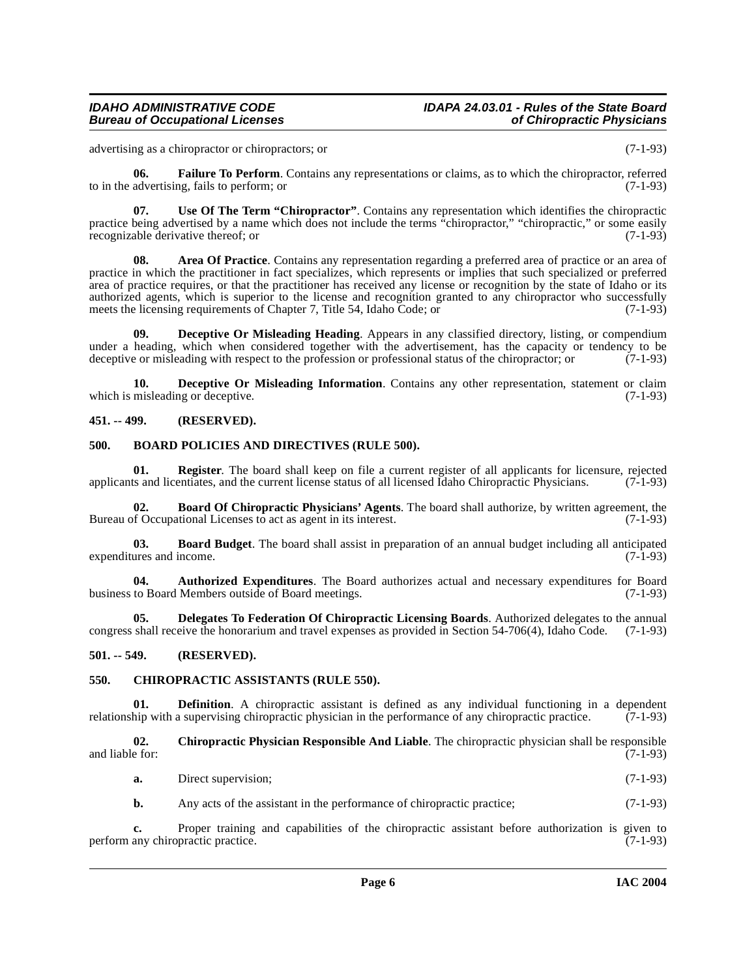# **Bureau of Occupational Licenses**

# **IDAHO ADMINISTRATIVE CODE IDAPA 24.03.01 - Rules of the State Board**

advertising as a chiropractor or chiropractors; or (7-1-93)

<span id="page-5-14"></span>**06. Failure To Perform**. Contains any representations or claims, as to which the chiropractor, referred to in the advertising, fails to perform; or  $(7-1-93)$ 

<span id="page-5-16"></span>**07. Use Of The Term "Chiropractor"**. Contains any representation which identifies the chiropractic practice being advertised by a name which does not include the terms "chiropractor," "chiropractic," or some easily recognizable derivative thereof; or recognizable derivative thereof; or

<span id="page-5-4"></span>**08. Area Of Practice**. Contains any representation regarding a preferred area of practice or an area of practice in which the practitioner in fact specializes, which represents or implies that such specialized or preferred area of practice requires, or that the practitioner has received any license or recognition by the state of Idaho or its authorized agents, which is superior to the license and recognition granted to any chiropractor who successfully meets the licensing requirements of Chapter 7, Title 54, Idaho Code; or (7-1-93)

<span id="page-5-11"></span>**09. Deceptive Or Misleading Heading**. Appears in any classified directory, listing, or compendium under a heading, which when considered together with the advertisement, has the capacity or tendency to be deceptive or misleading with respect to the profession or professional status of the chiropractor: or (7-1-93) deceptive or misleading with respect to the profession or professional status of the chiropractor; or

<span id="page-5-12"></span>**10. Deceptive Or Misleading Information**. Contains any other representation, statement or claim which is misleading or deceptive. (7-1-93)

# <span id="page-5-0"></span>**451. -- 499. (RESERVED).**

# <span id="page-5-8"></span><span id="page-5-1"></span>**500. BOARD POLICIES AND DIRECTIVES (RULE 500).**

<span id="page-5-15"></span>**01. Register**. The board shall keep on file a current register of all applicants for licensure, rejected applicants and licentiates, and the current license status of all licensed Idaho Chiropractic Physicians.  $(7-1-93)$ 

<span id="page-5-7"></span>**02. Board Of Chiropractic Physicians' Agents**. The board shall authorize, by written agreement, the Bureau of Occupational Licenses to act as agent in its interest. (7-1-93)

<span id="page-5-6"></span>**03. Board Budget**. The board shall assist in preparation of an annual budget including all anticipated expenditures and income. (7-1-93)

<span id="page-5-5"></span>**04.** Authorized Expenditures. The Board authorizes actual and necessary expenditures for Board to Board Members outside of Board meetings. (7-1-93) business to Board Members outside of Board meetings.

<span id="page-5-13"></span>**05. Delegates To Federation Of Chiropractic Licensing Boards**. Authorized delegates to the annual congress shall receive the honorarium and travel expenses as provided in Section 54-706(4), Idaho Code. (7-1-93)

# <span id="page-5-2"></span>**501. -- 549. (RESERVED).**

# <span id="page-5-9"></span><span id="page-5-3"></span>**550. CHIROPRACTIC ASSISTANTS (RULE 550).**

**01. Definition**. A chiropractic assistant is defined as any individual functioning in a dependent relationship with a supervising chiropractic physician in the performance of any chiropractic practice. (7-1-93)

**02. Chiropractic Physician Responsible And Liable**. The chiropractic physician shall be responsible and liable for: (7-1-93)

<span id="page-5-10"></span>**a.** Direct supervision; (7-1-93)

**b.** Any acts of the assistant in the performance of chiropractic practice; (7-1-93)

**c.** Proper training and capabilities of the chiropractic assistant before authorization is given to any chiropractic practice. (7-1-93) perform any chiropractic practice.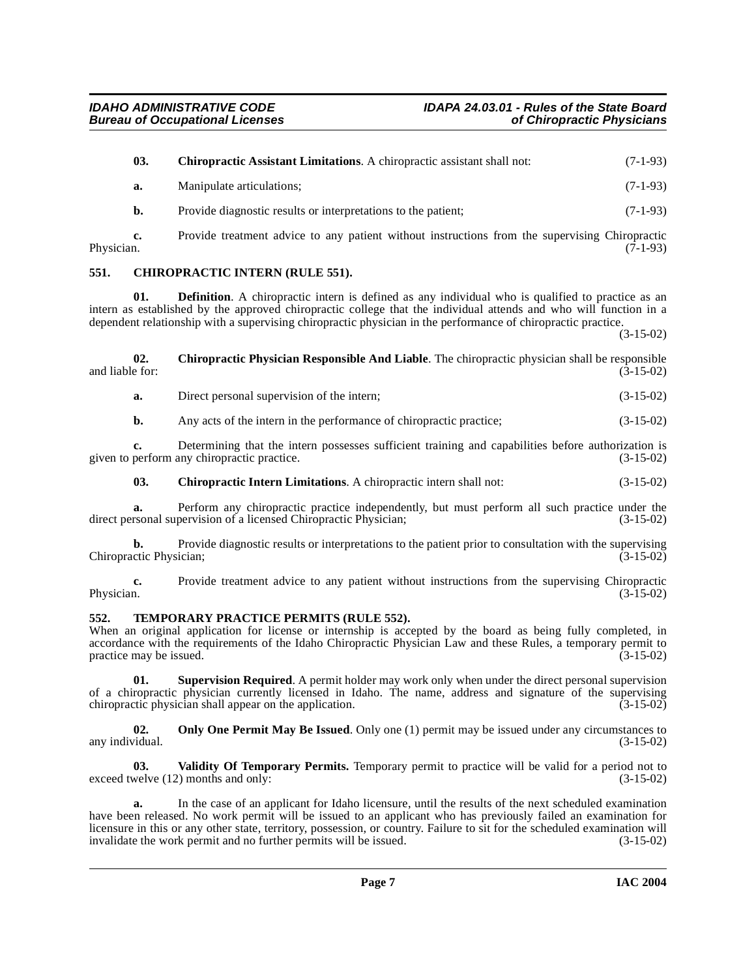<span id="page-6-5"></span><span id="page-6-3"></span><span id="page-6-2"></span><span id="page-6-0"></span>

|                 | 03.          | Chiropractic Assistant Limitations. A chiropractic assistant shall not:                                                                                                                                                                                                                                                                        | $(7-1-93)$  |
|-----------------|--------------|------------------------------------------------------------------------------------------------------------------------------------------------------------------------------------------------------------------------------------------------------------------------------------------------------------------------------------------------|-------------|
|                 | a.           | Manipulate articulations;                                                                                                                                                                                                                                                                                                                      | $(7-1-93)$  |
|                 | b.           | Provide diagnostic results or interpretations to the patient;                                                                                                                                                                                                                                                                                  | $(7-1-93)$  |
| Physician.      | c.           | Provide treatment advice to any patient without instructions from the supervising Chiropractic                                                                                                                                                                                                                                                 | $(7-1-93)$  |
| 551.            |              | <b>CHIROPRACTIC INTERN (RULE 551).</b>                                                                                                                                                                                                                                                                                                         |             |
|                 | 01.          | <b>Definition.</b> A chiropractic intern is defined as any individual who is qualified to practice as an<br>intern as established by the approved chiropractic college that the individual attends and who will function in a<br>dependent relationship with a supervising chiropractic physician in the performance of chiropractic practice. | $(3-15-02)$ |
| and liable for: | 02.          | Chiropractic Physician Responsible And Liable. The chiropractic physician shall be responsible                                                                                                                                                                                                                                                 | $(3-15-02)$ |
|                 | a.           | Direct personal supervision of the intern;                                                                                                                                                                                                                                                                                                     | $(3-15-02)$ |
|                 | b.           | Any acts of the intern in the performance of chiropractic practice;                                                                                                                                                                                                                                                                            | $(3-15-02)$ |
|                 | $c_{\cdot}$  | Determining that the intern possesses sufficient training and capabilities before authorization is<br>given to perform any chiropractic practice.                                                                                                                                                                                              | $(3-15-02)$ |
|                 | 03.          | <b>Chiropractic Intern Limitations.</b> A chiropractic intern shall not:                                                                                                                                                                                                                                                                       | $(3-15-02)$ |
|                 | a.           | Perform any chiropractic practice independently, but must perform all such practice under the<br>direct personal supervision of a licensed Chiropractic Physician;                                                                                                                                                                             | $(3-15-02)$ |
|                 | $\mathbf{h}$ | <b>Provide diagnostic results or interpretations to the patient prior to consultation with the supervising</b>                                                                                                                                                                                                                                 |             |

<span id="page-6-4"></span>**b.** Provide diagnostic results or interpretations to the patient prior to consultation with the supervising Chiropractic Physician; (3-15-02)

**c.** Provide treatment advice to any patient without instructions from the supervising Chiropractic Physician. (3-15-02) Physician.  $(3-15-02)$ 

# <span id="page-6-7"></span><span id="page-6-1"></span>**552. TEMPORARY PRACTICE PERMITS (RULE 552).**

When an original application for license or internship is accepted by the board as being fully completed, in accordance with the requirements of the Idaho Chiropractic Physician Law and these Rules, a temporary permit to practice may be issued. (3-15-02) practice may be issued.

**01. Supervision Required**. A permit holder may work only when under the direct personal supervision of a chiropractic physician currently licensed in Idaho. The name, address and signature of the supervising chiropractic physician shall appear on the application. (3-15-02) chiropractic physician shall appear on the application.

<span id="page-6-6"></span>**02.** Only One Permit May Be Issued. Only one (1) permit may be issued under any circumstances to any individual.  $(3-15-02)$ 

<span id="page-6-8"></span>**03. Validity Of Temporary Permits.** Temporary permit to practice will be valid for a period not to exceed twelve (12) months and only: (3-15-02)

**a.** In the case of an applicant for Idaho licensure, until the results of the next scheduled examination have been released. No work permit will be issued to an applicant who has previously failed an examination for licensure in this or any other state, territory, possession, or country. Failure to sit for the scheduled examination will invalidate the work permit and no further permits will be issued. (3-15-02) invalidate the work permit and no further permits will be issued.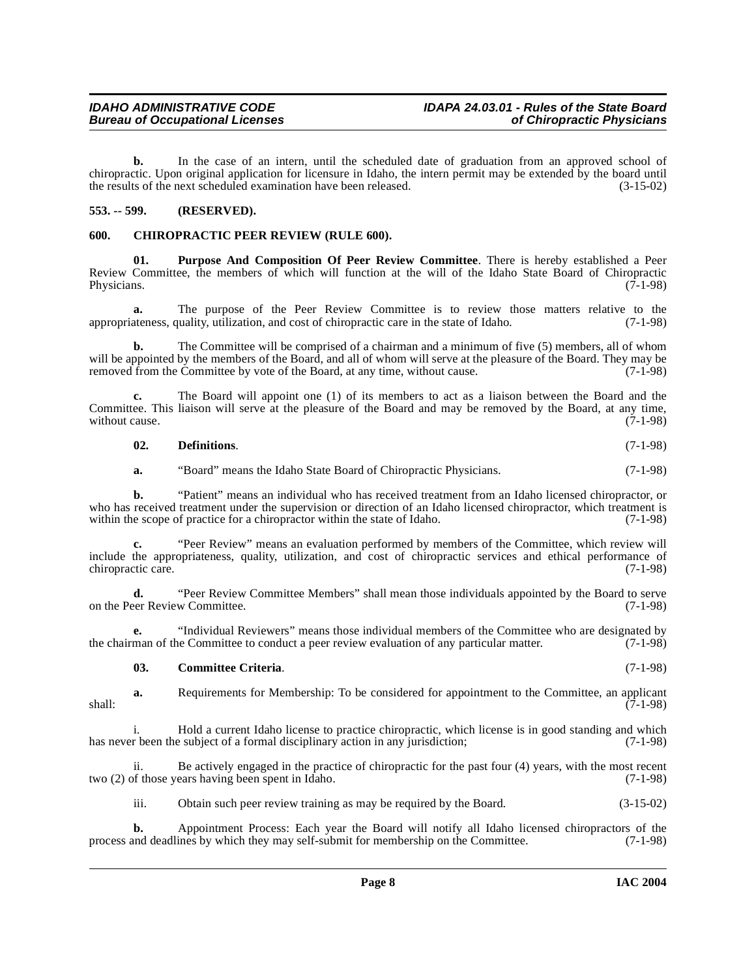**b.** In the case of an intern, until the scheduled date of graduation from an approved school of chiropractic. Upon original application for licensure in Idaho, the intern permit may be extended by the board until the results of the next scheduled examination have been released. (3-15-02)

# <span id="page-7-0"></span>**553. -- 599. (RESERVED).**

#### <span id="page-7-2"></span><span id="page-7-1"></span>**600. CHIROPRACTIC PEER REVIEW (RULE 600).**

<span id="page-7-4"></span>**01. Purpose And Composition Of Peer Review Committee**. There is hereby established a Peer Review Committee, the members of which will function at the will of the Idaho State Board of Chiropractic Physicians. (7-1-98) Physicians. (7-1-98)

**a.** The purpose of the Peer Review Committee is to review those matters relative to the appropriateness, quality, utilization, and cost of chiropractic care in the state of Idaho. (7-1-98)

**b.** The Committee will be comprised of a chairman and a minimum of five (5) members, all of whom will be appointed by the members of the Board, and all of whom will serve at the pleasure of the Board. They may be removed from the Committee by vote of the Board, at any time, without cause. (7-1-98)

**c.** The Board will appoint one (1) of its members to act as a liaison between the Board and the Committee. This liaison will serve at the pleasure of the Board and may be removed by the Board, at any time, without cause.  $(7-1-98)$ without cause.

**02. Definitions**. (7-1-98)

**a.** "Board" means the Idaho State Board of Chiropractic Physicians. (7-1-98)

**b.** "Patient" means an individual who has received treatment from an Idaho licensed chiropractor, or who has received treatment under the supervision or direction of an Idaho licensed chiropractor, which treatment is within the scope of practice for a chiropractor within the state of Idaho. (7-1-98) within the scope of practice for a chiropractor within the state of Idaho.

**c.** "Peer Review" means an evaluation performed by members of the Committee, which review will include the appropriateness, quality, utilization, and cost of chiropractic services and ethical performance of chiropractic care.

**d.** "Peer Review Committee Members" shall mean those individuals appointed by the Board to serve eer Review Committee. (7-1-98) on the Peer Review Committee.

**e.** "Individual Reviewers" means those individual members of the Committee who are designated by man of the Committee to conduct a peer review evaluation of any particular matter. (7-1-98) the chairman of the Committee to conduct a peer review evaluation of any particular matter.

#### <span id="page-7-3"></span>**03. Committee Criteria**. (7-1-98)

**a.** Requirements for Membership: To be considered for appointment to the Committee, an applicant (7-1-98)  $\overline{(7-1-98)}$  shall:

i. Hold a current Idaho license to practice chiropractic, which license is in good standing and which has never been the subject of a formal disciplinary action in any jurisdiction; (7-1-98)

ii. Be actively engaged in the practice of chiropractic for the past four (4) years, with the most recent two (2) of those years having been spent in Idaho. (7-1-98)

iii. Obtain such peer review training as may be required by the Board. (3-15-02)

**b.** Appointment Process: Each year the Board will notify all Idaho licensed chiropractors of the not deadlines by which they may self-submit for membership on the Committee. (7-1-98) process and deadlines by which they may self-submit for membership on the Committee.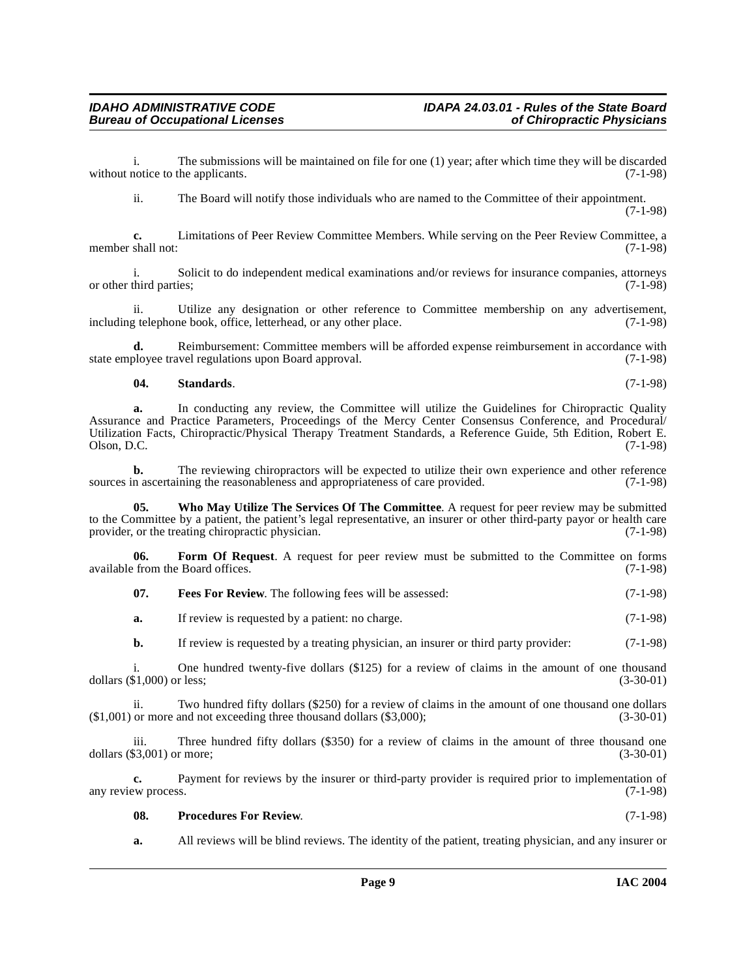i. The submissions will be maintained on file for one (1) year; after which time they will be discarded notice to the applicants. (7-1-98) without notice to the applicants.

ii. The Board will notify those individuals who are named to the Committee of their appointment. (7-1-98)

**c.** Limitations of Peer Review Committee Members. While serving on the Peer Review Committee, a shall not: (7-1-98) member shall not:

i. Solicit to do independent medical examinations and/or reviews for insurance companies, attorneys or other third parties;

ii. Utilize any designation or other reference to Committee membership on any advertisement, including telephone book, office, letterhead, or any other place. (7-1-98)

**d.** Reimbursement: Committee members will be afforded expense reimbursement in accordance with ployee travel regulations upon Board approval. (7-1-98) state employee travel regulations upon Board approval.

<span id="page-8-3"></span>**04. Standards**. (7-1-98)

**a.** In conducting any review, the Committee will utilize the Guidelines for Chiropractic Quality Assurance and Practice Parameters, Proceedings of the Mercy Center Consensus Conference, and Procedural/ Utilization Facts, Chiropractic/Physical Therapy Treatment Standards, a Reference Guide, 5th Edition, Robert E.  $\lambda$ Olson, D.C. (7-1-98)

**b.** The reviewing chiropractors will be expected to utilize their own experience and other reference n ascertaining the reasonableness and appropriateness of care provided. (7-1-98) sources in ascertaining the reasonableness and appropriateness of care provided.

<span id="page-8-4"></span>**05. Who May Utilize The Services Of The Committee**. A request for peer review may be submitted to the Committee by a patient, the patient's legal representative, an insurer or other third-party payor or health care<br>provider, or the treating chiropractic physician. (7-1-98) provider, or the treating chiropractic physician.

**06. Form Of Request**. A request for peer review must be submitted to the Committee on forms from the Board offices. (7-1-98) available from the Board offices.

<span id="page-8-1"></span><span id="page-8-0"></span>

|  | - 07. | <b>Fees For Review.</b> The following fees will be assessed: | $(7-1-98)$ |
|--|-------|--------------------------------------------------------------|------------|
|--|-------|--------------------------------------------------------------|------------|

**a.** If review is requested by a patient: no charge. (7-1-98)

**b.** If review is requested by a treating physician, an insurer or third party provider: (7-1-98)

i. One hundred twenty-five dollars  $(\$125)$  for a review of claims in the amount of one thousand  $\$1,000$  or less;  $(3-30-01)$ dollars  $(\$1,000)$  or less;

ii. Two hundred fifty dollars (\$250) for a review of claims in the amount of one thousand one dollars or more and not exceeding three thousand dollars (\$3,000); (3-30-01)  $($1,001)$  or more and not exceeding three thousand dollars  $($3,000)$ ;

iii. Three hundred fifty dollars (\$350) for a review of claims in the amount of three thousand one (3-30-01) or more; dollars  $(\$3,001)$  or more;

**c.** Payment for reviews by the insurer or third-party provider is required prior to implementation of any review process. (7-1-98)

<span id="page-8-2"></span>

| 08. | <b>Procedures For Review.</b> | $(7-1-98)$ |
|-----|-------------------------------|------------|
|-----|-------------------------------|------------|

**a.** All reviews will be blind reviews. The identity of the patient, treating physician, and any insurer or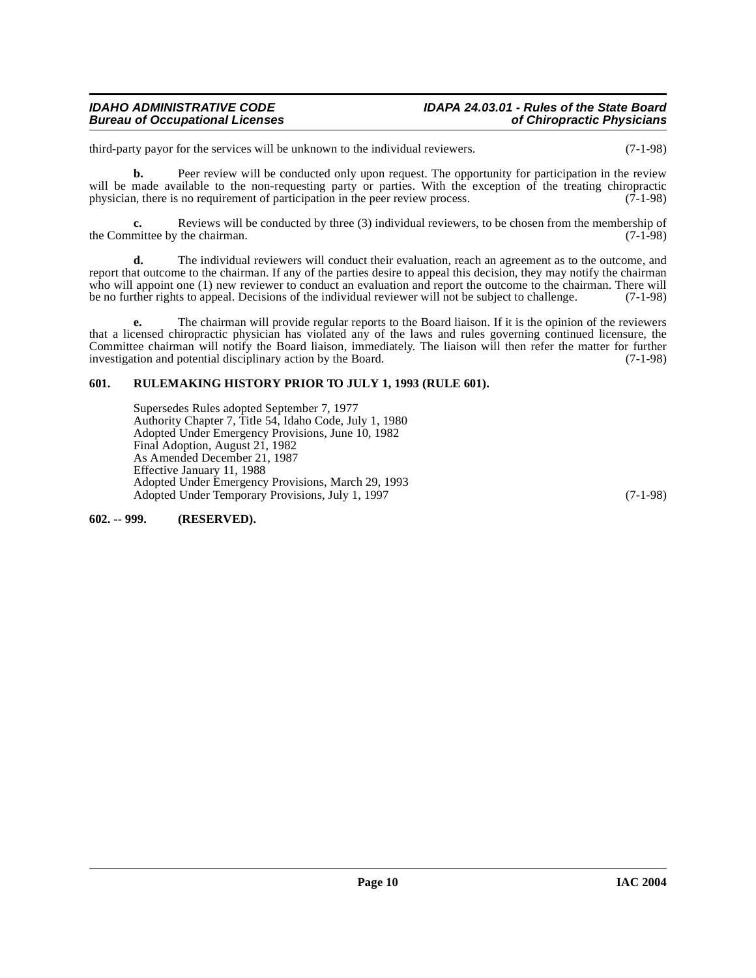# **Bureau of Occupational Licenses**

third-party payor for the services will be unknown to the individual reviewers. (7-1-98)

**b.** Peer review will be conducted only upon request. The opportunity for participation in the review will be made available to the non-requesting party or parties. With the exception of the treating chiropractic physician, there is no requirement of participation in the peer review process. (7-1-98)

**c.** Reviews will be conducted by three (3) individual reviewers, to be chosen from the membership of mittee by the chairman. (7-1-98) the Committee by the chairman.

**d.** The individual reviewers will conduct their evaluation, reach an agreement as to the outcome, and report that outcome to the chairman. If any of the parties desire to appeal this decision, they may notify the chairman who will appoint one (1) new reviewer to conduct an evaluation and report the outcome to the chairman. There will<br>be no further rights to appeal. Decisions of the individual reviewer will not be subject to challenge.  $(7$ be no further rights to appeal. Decisions of the individual reviewer will not be subject to challenge.

**e.** The chairman will provide regular reports to the Board liaison. If it is the opinion of the reviewers that a licensed chiropractic physician has violated any of the laws and rules governing continued licensure, the Committee chairman will notify the Board liaison, immediately. The liaison will then refer the matter for further investigation and potential disciplinary action by the Board. (7-1-98) investigation and potential disciplinary action by the Board.

# <span id="page-9-0"></span>**601. RULEMAKING HISTORY PRIOR TO JULY 1, 1993 (RULE 601).**

Supersedes Rules adopted September 7, 1977 Authority Chapter 7, Title 54, Idaho Code, July 1, 1980 Adopted Under Emergency Provisions, June 10, 1982 Final Adoption, August 21, 1982 As Amended December 21, 1987 Effective January 11, 1988 Adopted Under Emergency Provisions, March 29, 1993 Adopted Under Temporary Provisions, July 1, 1997 (7-1-98)

<span id="page-9-1"></span>**602. -- 999. (RESERVED).**